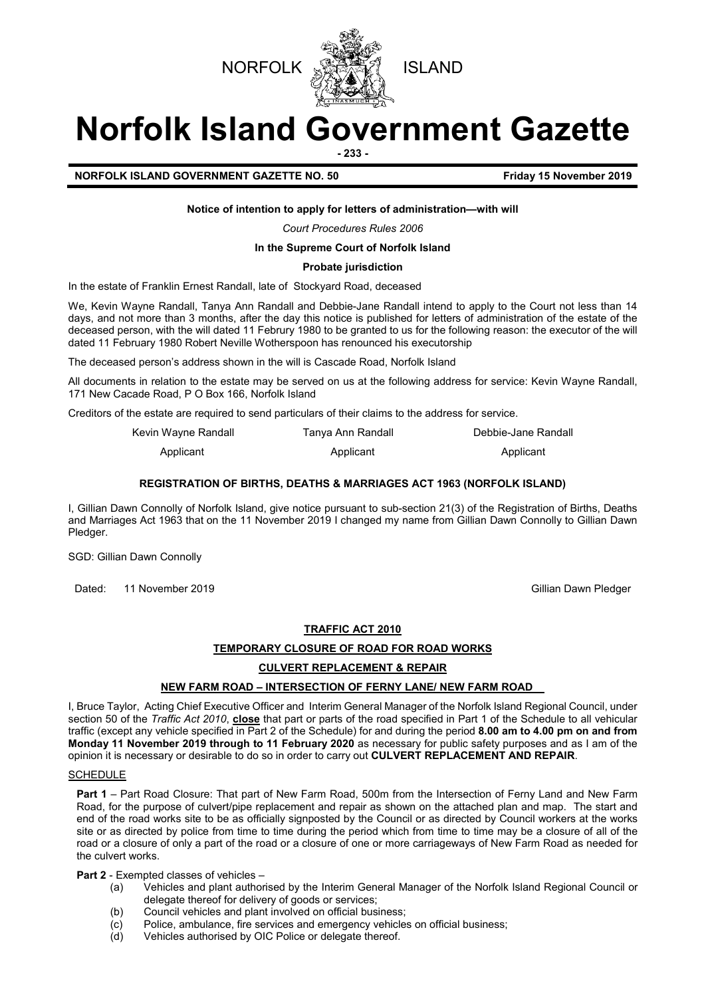



# **Norfolk Island Government Gazette**

**- 233 -**

**NORFOLK ISLAND GOVERNMENT GAZETTE NO. 50 FIGULARY 15 November 2019** 

## **Notice of intention to apply for letters of administration—with will**

*Court Procedures Rules 2006*

# **In the Supreme Court of Norfolk Island**

#### **Probate jurisdiction**

In the estate of Franklin Ernest Randall, late of Stockyard Road, deceased

We, Kevin Wayne Randall, Tanya Ann Randall and Debbie-Jane Randall intend to apply to the Court not less than 14 days, and not more than 3 months, after the day this notice is published for letters of administration of the estate of the deceased person, with the will dated 11 Februry 1980 to be granted to us for the following reason: the executor of the will dated 11 February 1980 Robert Neville Wotherspoon has renounced his executorship

The deceased person's address shown in the will is Cascade Road, Norfolk Island

All documents in relation to the estate may be served on us at the following address for service: Kevin Wayne Randall, 171 New Cacade Road, P O Box 166, Norfolk Island

Creditors of the estate are required to send particulars of their claims to the address for service.

| Kevin Wayne Randall | Tanva Ann Randall | Debbie-Jane Randall |
|---------------------|-------------------|---------------------|
| Applicant           | Applicant         | Applicant           |

#### **REGISTRATION OF BIRTHS, DEATHS & MARRIAGES ACT 1963 (NORFOLK ISLAND)**

I, Gillian Dawn Connolly of Norfolk Island, give notice pursuant to sub-section 21(3) of the Registration of Births, Deaths and Marriages Act 1963 that on the 11 November 2019 I changed my name from Gillian Dawn Connolly to Gillian Dawn Pledger.

SGD: Gillian Dawn Connolly

Dated: 11 November 2019 Gillian Dawn Pledger

## **TRAFFIC ACT 2010**

#### **TEMPORARY CLOSURE OF ROAD FOR ROAD WORKS**

# **CULVERT REPLACEMENT & REPAIR**

# **NEW FARM ROAD – INTERSECTION OF FERNY LANE/ NEW FARM ROAD**

I, Bruce Taylor, Acting Chief Executive Officer and Interim General Manager of the Norfolk Island Regional Council, under section 50 of the *Traffic Act 2010*, **close** that part or parts of the road specified in Part 1 of the Schedule to all vehicular traffic (except any vehicle specified in Part 2 of the Schedule) for and during the period **8.00 am to 4.00 pm on and from Monday 11 November 2019 through to 11 February 2020** as necessary for public safety purposes and as I am of the opinion it is necessary or desirable to do so in order to carry out **CULVERT REPLACEMENT AND REPAIR**.

# **SCHEDULE**

**Part 1** – Part Road Closure: That part of New Farm Road, 500m from the Intersection of Ferny Land and New Farm Road, for the purpose of culvert/pipe replacement and repair as shown on the attached plan and map. The start and end of the road works site to be as officially signposted by the Council or as directed by Council workers at the works site or as directed by police from time to time during the period which from time to time may be a closure of all of the road or a closure of only a part of the road or a closure of one or more carriageways of New Farm Road as needed for the culvert works.

**Part 2** - Exempted classes of vehicles –

- (a) Vehicles and plant authorised by the Interim General Manager of the Norfolk Island Regional Council or delegate thereof for delivery of goods or services;
- (b) Council vehicles and plant involved on official business;<br>(c) Police, ambulance, fire services and emergency vehicle
- Police, ambulance, fire services and emergency vehicles on official business;
- (d) Vehicles authorised by OIC Police or delegate thereof.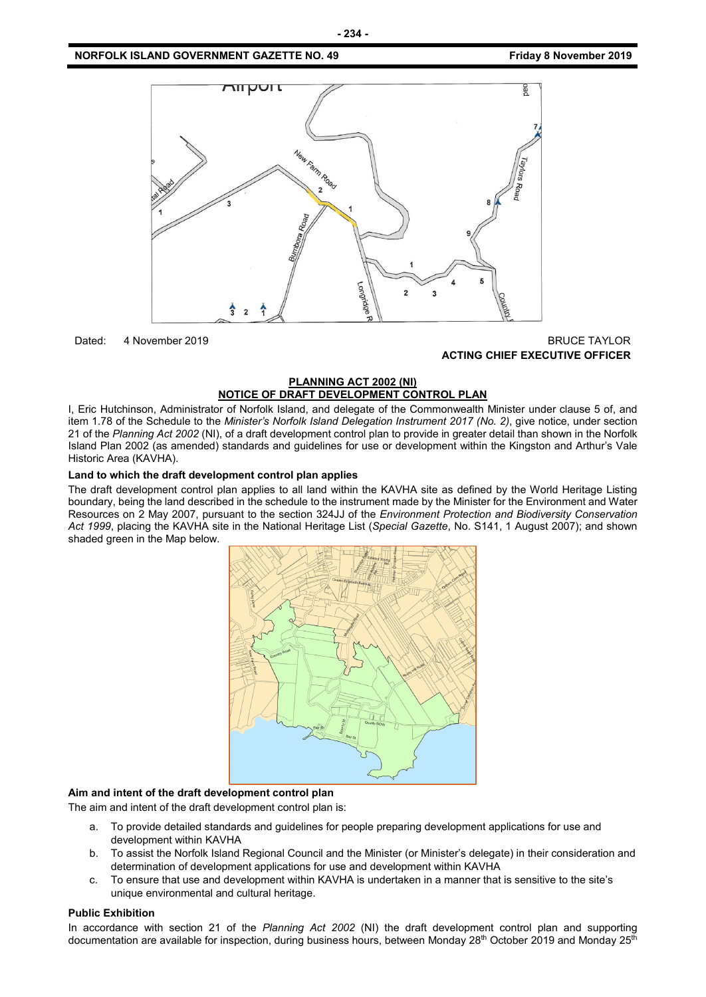# **NORFOLK ISLAND GOVERNMENT GAZETTE NO. 49** *CONSERVERTHERS FRIDAY 6 AMONG STATE ROOF 2019*



# Dated: 4 November 2019 **BRUCE TAYLOR ACTING CHIEF EXECUTIVE OFFICER**

# **PLANNING ACT 2002 (NI) NOTICE OF DRAFT DEVELOPMENT CONTROL PLAN**

I, Eric Hutchinson, Administrator of Norfolk Island, and delegate of the Commonwealth Minister under clause 5 of, and item 1.78 of the Schedule to the *Minister's Norfolk Island Delegation Instrument 2017 (No. 2)*, give notice, under section 21 of the *Planning Act 2002* (NI), of a draft development control plan to provide in greater detail than shown in the Norfolk Island Plan 2002 (as amended) standards and guidelines for use or development within the Kingston and Arthur's Vale Historic Area (KAVHA).

#### **Land to which the draft development control plan applies**

The draft development control plan applies to all land within the KAVHA site as defined by the World Heritage Listing boundary, being the land described in the schedule to the instrument made by the Minister for the Environment and Water Resources on 2 May 2007, pursuant to the section 324JJ of the *Environment Protection and Biodiversity Conservation Act 1999*, placing the KAVHA site in the National Heritage List (*Special Gazette*, No. S141, 1 August 2007); and shown shaded green in the Map below.



# **Aim and intent of the draft development control plan**

The aim and intent of the draft development control plan is:

- a. To provide detailed standards and guidelines for people preparing development applications for use and development within KAVHA
- b. To assist the Norfolk Island Regional Council and the Minister (or Minister's delegate) in their consideration and determination of development applications for use and development within KAVHA
- c. To ensure that use and development within KAVHA is undertaken in a manner that is sensitive to the site's unique environmental and cultural heritage.

#### **Public Exhibition**

In accordance with section 21 of the *Planning Act 2002* (NI) the draft development control plan and supporting documentation are available for inspection, during business hours, between Monday 28<sup>th</sup> October 2019 and Monday 25<sup>th</sup>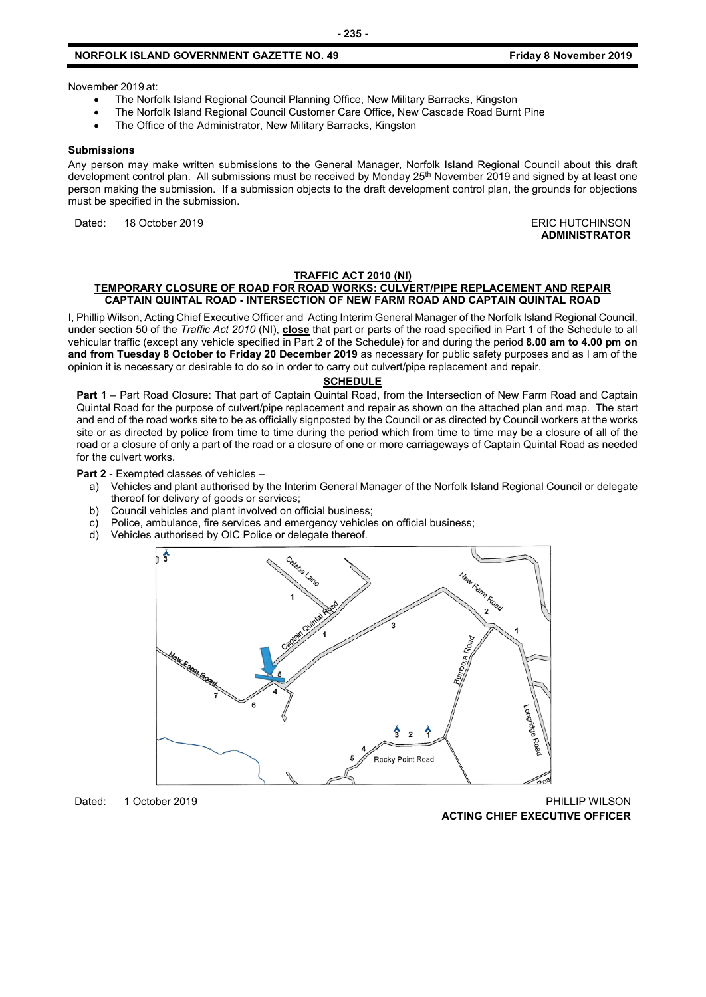# **NORFOLK ISLAND GOVERNMENT GAZETTE NO. 49 Friday 8 November 2019**

November 2019 at:

- The Norfolk Island Regional Council Planning Office, New Military Barracks, Kingston
- The Norfolk Island Regional Council Customer Care Office, New Cascade Road Burnt Pine
- The Office of the Administrator, New Military Barracks, Kingston

#### **Submissions**

Any person may make written submissions to the General Manager, Norfolk Island Regional Council about this draft development control plan. All submissions must be received by Monday 25<sup>th</sup> November 2019 and signed by at least one person making the submission. If a submission objects to the draft development control plan, the grounds for objections must be specified in the submission.

Dated: 18 October 2019 **ERIC HUTCHINSON** 

# **ADMINISTRATOR**

#### **TRAFFIC ACT 2010 (NI)**

#### **TEMPORARY CLOSURE OF ROAD FOR ROAD WORKS: CULVERT/PIPE REPLACEMENT AND REPAIR CAPTAIN QUINTAL ROAD - INTERSECTION OF NEW FARM ROAD AND CAPTAIN QUINTAL ROAD**

I, Phillip Wilson, Acting Chief Executive Officer and Acting Interim General Manager of the Norfolk Island Regional Council, under section 50 of the *Traffic Act 2010* (NI), **close** that part or parts of the road specified in Part 1 of the Schedule to all vehicular traffic (except any vehicle specified in Part 2 of the Schedule) for and during the period **8.00 am to 4.00 pm on and from Tuesday 8 October to Friday 20 December 2019** as necessary for public safety purposes and as I am of the opinion it is necessary or desirable to do so in order to carry out culvert/pipe replacement and repair.

#### **SCHEDULE**

**Part 1** – Part Road Closure: That part of Captain Quintal Road, from the Intersection of New Farm Road and Captain Quintal Road for the purpose of culvert/pipe replacement and repair as shown on the attached plan and map. The start and end of the road works site to be as officially signposted by the Council or as directed by Council workers at the works site or as directed by police from time to time during the period which from time to time may be a closure of all of the road or a closure of only a part of the road or a closure of one or more carriageways of Captain Quintal Road as needed for the culvert works.

**Part 2** - Exempted classes of vehicles –

- a) Vehicles and plant authorised by the Interim General Manager of the Norfolk Island Regional Council or delegate thereof for delivery of goods or services;
- b) Council vehicles and plant involved on official business;
- c) Police, ambulance, fire services and emergency vehicles on official business;<br>d) Vehicles authorised by OIC Police or delegate thereof
- Vehicles authorised by OIC Police or delegate thereof.



Dated: 1 October 2019 PHILLIP WILSON

**ACTING CHIEF EXECUTIVE OFFICER**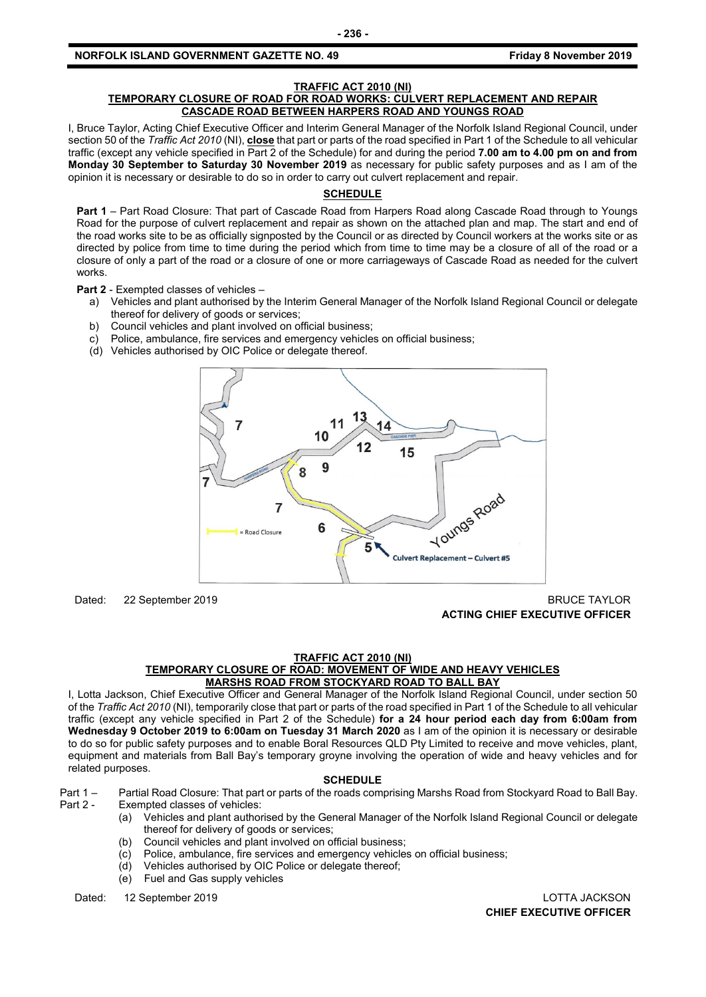# **NORFOLK ISLAND GOVERNMENT GAZETTE NO. 49** *CONSERVERTHERS FRIDAY 6 AMONG STATE ROOF 2019*

#### **TRAFFIC ACT 2010 (NI)**

#### **TEMPORARY CLOSURE OF ROAD FOR ROAD WORKS: CULVERT REPLACEMENT AND REPAIR CASCADE ROAD BETWEEN HARPERS ROAD AND YOUNGS ROAD**

I, Bruce Taylor, Acting Chief Executive Officer and Interim General Manager of the Norfolk Island Regional Council, under section 50 of the *Traffic Act 2010* (NI), **close** that part or parts of the road specified in Part 1 of the Schedule to all vehicular traffic (except any vehicle specified in Part 2 of the Schedule) for and during the period **7.00 am to 4.00 pm on and from Monday 30 September to Saturday 30 November 2019** as necessary for public safety purposes and as I am of the opinion it is necessary or desirable to do so in order to carry out culvert replacement and repair.

# **SCHEDULE**

**Part 1** – Part Road Closure: That part of Cascade Road from Harpers Road along Cascade Road through to Youngs Road for the purpose of culvert replacement and repair as shown on the attached plan and map. The start and end of the road works site to be as officially signposted by the Council or as directed by Council workers at the works site or as directed by police from time to time during the period which from time to time may be a closure of all of the road or a closure of only a part of the road or a closure of one or more carriageways of Cascade Road as needed for the culvert works.

**Part 2** - Exempted classes of vehicles –

- a) Vehicles and plant authorised by the Interim General Manager of the Norfolk Island Regional Council or delegate thereof for delivery of goods or services;
- b) Council vehicles and plant involved on official business;
- c) Police, ambulance, fire services and emergency vehicles on official business;
- (d) Vehicles authorised by OIC Police or delegate thereof.



Dated: 22 September 2019 BRUCE TAYLOR **ACTING CHIEF EXECUTIVE OFFICER**

#### **TRAFFIC ACT 2010 (NI)**

# **TEMPORARY CLOSURE OF ROAD: MOVEMENT OF WIDE AND HEAVY VEHICLES MARSHS ROAD FROM STOCKYARD ROAD TO BALL BAY**

I, Lotta Jackson, Chief Executive Officer and General Manager of the Norfolk Island Regional Council, under section 50 of the *Traffic Act 2010* (NI), temporarily close that part or parts of the road specified in Part 1 of the Schedule to all vehicular traffic (except any vehicle specified in Part 2 of the Schedule) **for a 24 hour period each day from 6:00am from Wednesday 9 October 2019 to 6:00am on Tuesday 31 March 2020** as I am of the opinion it is necessary or desirable to do so for public safety purposes and to enable Boral Resources QLD Pty Limited to receive and move vehicles, plant, equipment and materials from Ball Bay's temporary groyne involving the operation of wide and heavy vehicles and for related purposes.

#### **SCHEDULE**

Part 1 – Partial Road Closure: That part or parts of the roads comprising Marshs Road from Stockyard Road to Ball Bay.

- Exempted classes of vehicles:
	- (a) Vehicles and plant authorised by the General Manager of the Norfolk Island Regional Council or delegate thereof for delivery of goods or services;
	- (b) Council vehicles and plant involved on official business;
	- (c) Police, ambulance, fire services and emergency vehicles on official business;
	- (d) Vehicles authorised by OIC Police or delegate thereof;
	- (e) Fuel and Gas supply vehicles

Dated: 12 September 2019 LOTTA JACKSON

**CHIEF EXECUTIVE OFFICER**